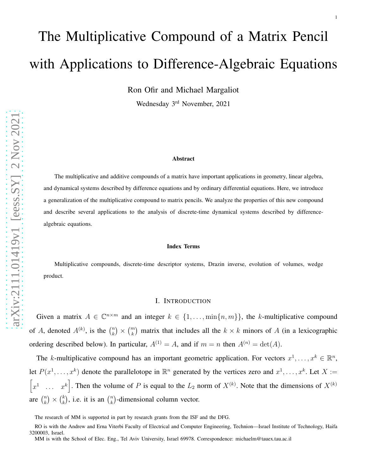# The Multiplicative Compound of a Matrix Pencil with Applications to Difference-Algebraic Equations

Ron Ofir and Michael Margaliot

Wednesday 3rd November, 2021

#### Abstract

The multiplicative and additive compounds of a matrix have important applications in geometry, linear algebra, and dynamical systems described by difference equations and by ordinary differential equations. Here, we introduce a generalization of the multiplicative compound to matrix pencils. We analyze the properties of this new compound and describe several applications to the analysis of discrete-time dynamical systems described by differencealgebraic equations.

#### Index Terms

Multiplicative compounds, discrete-time descriptor systems, Drazin inverse, evolution of volumes, wedge product.

## I. INTRODUCTION

Given a matrix  $A \in \mathbb{C}^{n \times m}$  and an integer  $k \in \{1, ..., \min\{n, m\}\}\)$ , the k-multiplicative compound of A, denoted  $A^{(k)}$ , is the  $\binom{n}{k} \times \binom{m}{k}$  matrix that includes all the  $k \times k$  minors of A (in a lexicographic ordering described below). In particular,  $A^{(1)} = A$ , and if  $m = n$  then  $A^{(n)} = \det(A)$ .

The k-multiplicative compound has an important geometric application. For vectors  $x^1, \ldots, x^k \in \mathbb{R}^n$ , let  $P(x^1, \ldots, x^k)$  denote the parallelotope in  $\mathbb{R}^n$  generated by the vertices zero and  $x^1, \ldots, x^k$ . Let  $X :=$  $\begin{bmatrix} x^1 & \dots & x^k \end{bmatrix}$ . Then the volume of P is equal to the  $L_2$  norm of  $X^{(k)}$ . Note that the dimensions of  $X^{(k)}$ are  $\binom{n}{k} \times \binom{k}{k}$ , i.e. it is an  $\binom{n}{k}$ -dimensional column vector.

The research of MM is supported in part by research grants from the ISF and the DFG.

RO is with the Andrew and Erna Viterbi Faculty of Electrical and Computer Engineering, Technion—Israel Institute of Technology, Haifa 3200003, Israel.

MM is with the School of Elec. Eng., Tel Aviv University, Israel 69978. Correspondence: michaelm@tauex.tau.ac.il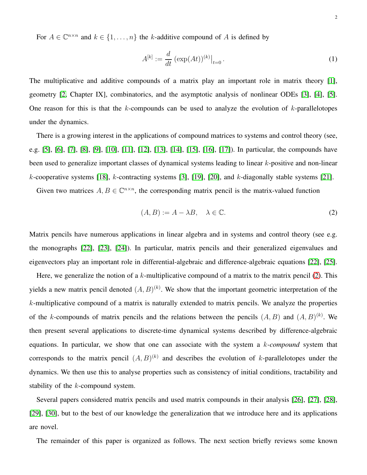For  $A \in \mathbb{C}^{n \times n}$  and  $k \in \{1, ..., n\}$  the k-additive compound of A is defined by

$$
A^{[k]} := \frac{d}{dt} \left( \exp(At) \right)^{(k)} \big|_{t=0} \,. \tag{1}
$$

The multiplicative and additive compounds of a matrix play an important role in matrix theory [\[1\]](#page-22-0), geometry [\[2,](#page-22-1) Chapter IX], combinatorics, and the asymptotic analysis of nonlinear ODEs [\[3\]](#page-22-2), [\[4\]](#page-22-3), [\[5\]](#page-22-4). One reason for this is that the  $k$ -compounds can be used to analyze the evolution of  $k$ -parallelotopes under the dynamics.

There is a growing interest in the applications of compound matrices to systems and control theory (see, e.g. [\[5\]](#page-22-4), [\[6\]](#page-22-5), [\[7\]](#page-22-6), [\[8\]](#page-23-0), [\[9\]](#page-23-1), [\[10\]](#page-23-2), [\[11\]](#page-23-3), [\[12\]](#page-23-4), [\[13\]](#page-23-5), [\[14\]](#page-23-6), [\[15\]](#page-23-7), [\[16\]](#page-23-8), [\[17\]](#page-23-9)). In particular, the compounds have been used to generalize important classes of dynamical systems leading to linear k-positive and non-linear  $k$ -cooperative systems [\[18\]](#page-23-10),  $k$ -contracting systems [\[3\]](#page-22-2), [\[19\]](#page-23-11), [\[20\]](#page-23-12), and  $k$ -diagonally stable systems [\[21\]](#page-23-13).

Given two matrices  $A, B \in \mathbb{C}^{n \times n}$ , the corresponding matrix pencil is the matrix-valued function

<span id="page-1-0"></span>
$$
(A, B) := A - \lambda B, \quad \lambda \in \mathbb{C}.\tag{2}
$$

Matrix pencils have numerous applications in linear algebra and in systems and control theory (see e.g. the monographs [\[22\]](#page-23-14), [\[23\]](#page-23-15), [\[24\]](#page-23-16)). In particular, matrix pencils and their generalized eigenvalues and eigenvectors play an important role in differential-algebraic and difference-algebraic equations [\[22\]](#page-23-14), [\[25\]](#page-23-17).

Here, we generalize the notion of a  $k$ -multiplicative compound of a matrix to the matrix pencil [\(2\)](#page-1-0). This yields a new matrix pencil denoted  $(A, B)^{(k)}$ . We show that the important geometric interpretation of the k-multiplicative compound of a matrix is naturally extended to matrix pencils. We analyze the properties of the k-compounds of matrix pencils and the relations between the pencils  $(A, B)$  and  $(A, B)^{(k)}$ . We then present several applications to discrete-time dynamical systems described by difference-algebraic equations. In particular, we show that one can associate with the system a k*-compound* system that corresponds to the matrix pencil  $(A, B)^{(k)}$  and describes the evolution of k-parallelotopes under the dynamics. We then use this to analyse properties such as consistency of initial conditions, tractability and stability of the *k*-compound system.

Several papers considered matrix pencils and used matrix compounds in their analysis [\[26\]](#page-23-18), [\[27\]](#page-23-19), [\[28\]](#page-23-20), [\[29\]](#page-23-21), [\[30\]](#page-24-0), but to the best of our knowledge the generalization that we introduce here and its applications are novel.

The remainder of this paper is organized as follows. The next section briefly reviews some known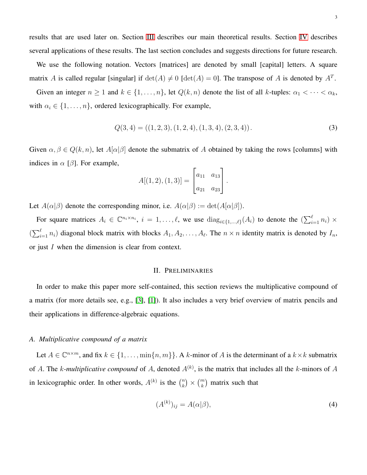results that are used later on. Section [III](#page-8-0) describes our main theoretical results. Section [IV](#page-12-0) describes several applications of these results. The last section concludes and suggests directions for future research.

We use the following notation. Vectors [matrices] are denoted by small [capital] letters. A square matrix A is called regular [singular] if  $\det(A) \neq 0$  [ $\det(A) = 0$ ]. The transpose of A is denoted by  $A<sup>T</sup>$ .

Given an integer  $n \ge 1$  and  $k \in \{1, ..., n\}$ , let  $Q(k, n)$  denote the list of all k-tuples:  $\alpha_1 < \cdots < \alpha_k$ , with  $\alpha_i \in \{1, \ldots, n\}$ , ordered lexicographically. For example,

$$
Q(3,4) = ((1,2,3), (1,2,4), (1,3,4), (2,3,4)).
$$
\n(3)

Given  $\alpha, \beta \in Q(k, n)$ , let  $A[\alpha|\beta]$  denote the submatrix of A obtained by taking the rows [columns] with indices in  $\alpha$  [ $\beta$ ]. For example,

$$
A[(1,2),(1,3)] = \begin{bmatrix} a_{11} & a_{13} \\ a_{21} & a_{23} \end{bmatrix}.
$$

Let  $A(\alpha|\beta)$  denote the corresponding minor, i.e.  $A(\alpha|\beta) := \det(A[\alpha|\beta]).$ 

For square matrices  $A_i \in \mathbb{C}^{n_i \times n_i}$ ,  $i = 1, \ldots, \ell$ , we use  $\text{diag}_{i \in \{1, \ldots, \ell\}}(A_i)$  to denote the  $(\sum_{i=1}^{\ell} n_i) \times$  $(\sum_{i=1}^{\ell} n_i)$  diagonal block matrix with blocks  $A_1, A_2, \ldots, A_{\ell}$ . The  $n \times n$  identity matrix is denoted by  $I_n$ , or just I when the dimension is clear from context.

## II. PRELIMINARIES

In order to make this paper more self-contained, this section reviews the multiplicative compound of a matrix (for more details see, e.g., [\[3\]](#page-22-2), [\[1\]](#page-22-0)). It also includes a very brief overview of matrix pencils and their applications in difference-algebraic equations.

## *A. Multiplicative compound of a matrix*

Let  $A \in \mathbb{C}^{n \times m}$ , and fix  $k \in \{1, ..., \min\{n, m\}\}\$ . A k-minor of A is the determinant of a  $k \times k$  submatrix of A. The k-multiplicative compound of A, denoted  $A^{(k)}$ , is the matrix that includes all the k-minors of A in lexicographic order. In other words,  $A^{(k)}$  is the  $\binom{n}{k}$  ${k \choose k} \times {m \choose k}$  matrix such that

$$
(A^{(k)})_{ij} = A(\alpha|\beta),\tag{4}
$$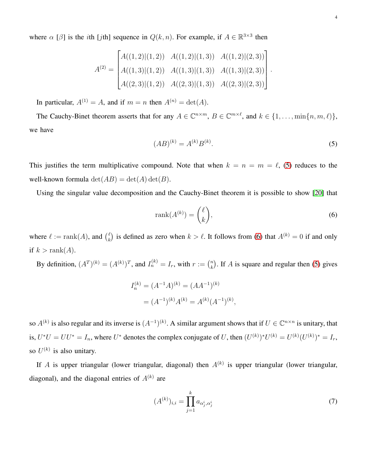where  $\alpha$  [ $\beta$ ] is the *i*th [*j*th] sequence in  $Q(k, n)$ . For example, if  $A \in \mathbb{R}^{3 \times 3}$  then

$$
A^{(2)} = \begin{bmatrix} A((1,2)|(1,2)) & A((1,2)|(1,3)) & A((1,2)|(2,3)) \\ A((1,3)|(1,2)) & A((1,3)|(1,3)) & A((1,3)|(2,3)) \\ A((2,3)|(1,2)) & A((2,3)|(1,3)) & A((2,3)|(2,3)) \end{bmatrix}.
$$

In particular,  $A^{(1)} = A$ , and if  $m = n$  then  $A^{(n)} = \det(A)$ .

The Cauchy-Binet theorem asserts that for any  $A \in \mathbb{C}^{n \times m}$ ,  $B \in \mathbb{C}^{m \times \ell}$ , and  $k \in \{1, \ldots, \min\{n, m, \ell\}\}$ , we have

<span id="page-3-0"></span>
$$
(AB)^{(k)} = A^{(k)}B^{(k)}.
$$
\n(5)

This justifies the term multiplicative compound. Note that when  $k = n = m = \ell$ , [\(5\)](#page-3-0) reduces to the well-known formula  $\det(AB) = \det(A) \det(B)$ .

Using the singular value decomposition and the Cauchy-Binet theorem it is possible to show [\[20\]](#page-23-12) that

<span id="page-3-1"></span>
$$
rank(A^{(k)}) = \binom{\ell}{k},\tag{6}
$$

,

where  $\ell := \text{rank}(A)$ , and  $\binom{\ell}{k}$  $\binom{k}{k}$  is defined as zero when  $k > \ell$ . It follows from [\(6\)](#page-3-1) that  $A^{(k)} = 0$  if and only if  $k > \text{rank}(A)$ .

By definition,  $(A^T)^{(k)} = (A^{(k)})^T$ , and  $I_n^{(k)} = I_r$ , with  $r := \binom{n}{k}$  $\binom{n}{k}$ . If A is square and regular then [\(5\)](#page-3-0) gives

$$
I_n^{(k)} = (A^{-1}A)^{(k)} = (AA^{-1})^{(k)}
$$

$$
= (A^{-1})^{(k)}A^{(k)} = A^{(k)}(A^{-1})^{(k)}
$$

so  $A^{(k)}$  is also regular and its inverse is  $(A^{-1})^{(k)}$ . A similar argument shows that if  $U \in \mathbb{C}^{n \times n}$  is unitary, that is,  $U^*U = UU^* = I_n$ , where  $U^*$  denotes the complex conjugate of U, then  $(U^{(k)})^*U^{(k)} = U^{(k)}(U^{(k)})^* = I_r$ , so  $U^{(k)}$  is also unitary.

If A is upper triangular (lower triangular, diagonal) then  $A^{(k)}$  is upper triangular (lower triangular, diagonal), and the diagonal entries of  $A^{(k)}$  are

<span id="page-3-2"></span>
$$
(A^{(k)})_{i,i} = \prod_{j=1}^{k} a_{\alpha_j^i, \alpha_j^i}
$$
 (7)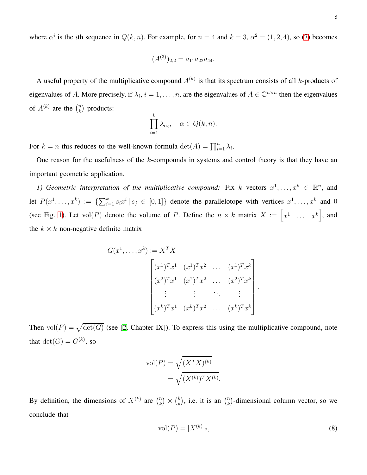where  $\alpha^i$  is the *i*th sequence in  $Q(k, n)$ . For example, for  $n = 4$  and  $k = 3$ ,  $\alpha^2 = (1, 2, 4)$ , so [\(7\)](#page-3-2) becomes

$$
(A^{(3)})_{2,2} = a_{11}a_{22}a_{44}.
$$

A useful property of the multiplicative compound  $A^{(k)}$  is that its spectrum consists of all k-products of eigenvalues of A. More precisely, if  $\lambda_i$ ,  $i = 1, \ldots, n$ , are the eigenvalues of  $A \in \mathbb{C}^{n \times n}$  then the eigenvalues of  $A^{(k)}$  are the  $\binom{n}{k}$  $\binom{n}{k}$  products:

$$
\prod_{i=1}^k \lambda_{\alpha_i}, \quad \alpha \in Q(k, n).
$$

For  $k = n$  this reduces to the well-known formula  $\det(A) = \prod_{i=1}^{n} \lambda_i$ .

One reason for the usefulness of the  $k$ -compounds in systems and control theory is that they have an important geometric application.

1) Geometric interpretation of the multiplicative compound: Fix k vectors  $x^1, \ldots, x^k \in \mathbb{R}^n$ , and let  $P(x^1, \ldots, x^k) := \{\sum_{i=1}^k s_i x^i \mid s_i \in [0,1]\}$  denote the parallelotope with vertices  $x^1, \ldots, x^k$  and 0 (see Fig. [1\)](#page-5-0). Let vol(P) denote the volume of P. Define the  $n \times k$  matrix  $X := \begin{bmatrix} x^1 & \dots & x^k \end{bmatrix}$ , and the  $k \times k$  non-negative definite matrix

$$
G(x^{1},...,x^{k}) := X^{T} X
$$

$$
\begin{bmatrix} (x^{1})^{T} x^{1} & (x^{1})^{T} x^{2} & \dots & (x^{1})^{T} x^{k} \\ (x^{2})^{T} x^{1} & (x^{2})^{T} x^{2} & \dots & (x^{2})^{T} x^{k} \\ \vdots & \vdots & \ddots & \vdots \\ (x^{k})^{T} x^{1} & (x^{k})^{T} x^{2} & \dots & (x^{k})^{T} x^{k} \end{bmatrix}
$$

Then  $vol(P) = \sqrt{det(G)}$  (see [\[2,](#page-22-1) Chapter IX]). To express this using the multiplicative compound, note that  $\det(G) = G^{(k)}$ , so

$$
\text{vol}(P) = \sqrt{(X^T X)^{(k)}} \\
= \sqrt{(X^{(k)})^T X^{(k)}}.
$$

By definition, the dimensions of  $X^{(k)}$  are  $\binom{n}{k}$  $\binom{n}{k}$   $\times$   $\binom{k}{k}$  $\binom{k}{k}$ , i.e. it is an  $\binom{n}{k}$  $\binom{n}{k}$ -dimensional column vector, so we conclude that

$$
vol(P) = |X^{(k)}|_2,
$$
\n(8)

.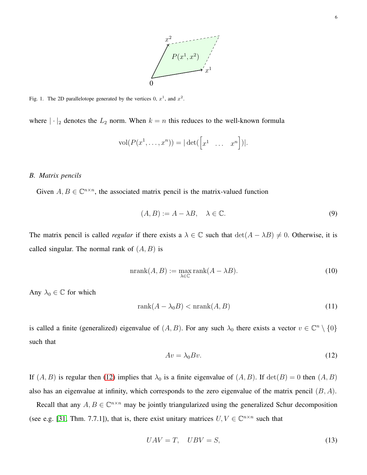

<span id="page-5-0"></span>Fig. 1. The 2D parallelotope generated by the vertices 0,  $x^1$ , and  $x^2$ .

where  $|\cdot|_2$  denotes the  $L_2$  norm. When  $k = n$  this reduces to the well-known formula

$$
vol(P(x1,...,xn)) = |\det([\begin{bmatrix} x1 & ... & xn \end{bmatrix})|.
$$

## *B. Matrix pencils*

Given  $A, B \in \mathbb{C}^{n \times n}$ , the associated matrix pencil is the matrix-valued function

$$
(A, B) := A - \lambda B, \quad \lambda \in \mathbb{C}.\tag{9}
$$

The matrix pencil is called *regular* if there exists a  $\lambda \in \mathbb{C}$  such that  $\det(A - \lambda B) \neq 0$ . Otherwise, it is called singular. The normal rank of  $(A, B)$  is

$$
\text{nrank}(A, B) := \max_{\lambda \in \mathbb{C}} \text{rank}(A - \lambda B). \tag{10}
$$

Any  $\lambda_0 \in \mathbb{C}$  for which

$$
rank(A - \lambda_0 B) < nrank(A, B) \tag{11}
$$

is called a finite (generalized) eigenvalue of  $(A, B)$ . For any such  $\lambda_0$  there exists a vector  $v \in \mathbb{C}^n \setminus \{0\}$ such that

<span id="page-5-1"></span>
$$
Av = \lambda_0 Bv. \tag{12}
$$

If  $(A, B)$  is regular then [\(12\)](#page-5-1) implies that  $\lambda_0$  is a finite eigenvalue of  $(A, B)$ . If  $\det(B) = 0$  then  $(A, B)$ also has an eigenvalue at infinity, which corresponds to the zero eigenvalue of the matrix pencil  $(B, A)$ .

Recall that any  $A, B \in \mathbb{C}^{n \times n}$  may be jointly triangularized using the generalized Schur decomposition (see e.g. [\[31,](#page-24-1) Thm. 7.7.1]), that is, there exist unitary matrices  $U, V \in \mathbb{C}^{n \times n}$  such that

<span id="page-5-2"></span>
$$
UAV = T, \quad UBV = S,\tag{13}
$$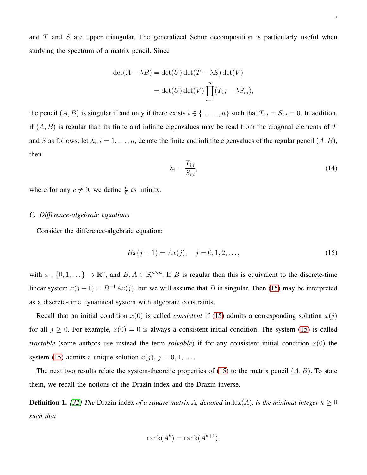and  $T$  and  $S$  are upper triangular. The generalized Schur decomposition is particularly useful when studying the spectrum of a matrix pencil. Since

$$
\det(A - \lambda B) = \det(U) \det(T - \lambda S) \det(V)
$$

$$
= \det(U) \det(V) \prod_{i=1}^{n} (T_{i,i} - \lambda S_{i,i}),
$$

the pencil  $(A, B)$  is singular if and only if there exists  $i \in \{1, \ldots, n\}$  such that  $T_{i,i} = S_{i,i} = 0$ . In addition, if  $(A, B)$  is regular than its finite and infinite eigenvalues may be read from the diagonal elements of T and S as follows: let  $\lambda_i$ ,  $i = 1, \ldots, n$ , denote the finite and infinite eigenvalues of the regular pencil  $(A, B)$ , then

$$
\lambda_i = \frac{T_{i,i}}{S_{i,i}},\tag{14}
$$

where for any  $c \neq 0$ , we define  $\frac{c}{0}$  as infinity.

## *C. Difference-algebraic equations*

Consider the difference-algebraic equation:

<span id="page-6-0"></span>
$$
Bx(j+1) = Ax(j), \quad j = 0, 1, 2, \dots,
$$
\n(15)

with  $x: \{0, 1, ...\} \to \mathbb{R}^n$ , and  $B, A \in \mathbb{R}^{n \times n}$ . If B is regular then this is equivalent to the discrete-time linear system  $x(j+1) = B^{-1}Ax(j)$ , but we will assume that B is singular. Then [\(15\)](#page-6-0) may be interpreted as a discrete-time dynamical system with algebraic constraints.

Recall that an initial condition  $x(0)$  is called *consistent* if [\(15\)](#page-6-0) admits a corresponding solution  $x(j)$ for all  $j \ge 0$ . For example,  $x(0) = 0$  is always a consistent initial condition. The system [\(15\)](#page-6-0) is called *tractable* (some authors use instead the term *solvable*) if for any consistent initial condition  $x(0)$  the system [\(15\)](#page-6-0) admits a unique solution  $x(j)$ ,  $j = 0, 1, \ldots$ .

The next two results relate the system-theoretic properties of [\(15\)](#page-6-0) to the matrix pencil  $(A, B)$ . To state them, we recall the notions of the Drazin index and the Drazin inverse.

**Definition 1.** *[\[32\]](#page-24-2) The* Drazin index *of a square matrix A, denoted* index(A), *is the minimal integer*  $k \geq 0$ *such that*

$$
rank(A^k) = rank(A^{k+1}).
$$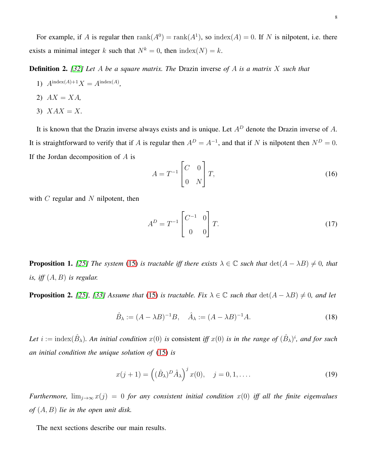For example, if A is regular then  $rank(A^0) = rank(A^1)$ , so  $index(A) = 0$ . If N is nilpotent, i.e. there exists a minimal integer k such that  $N^k = 0$ , then  $index(N) = k$ .

Definition 2. *[\[32\]](#page-24-2) Let* A *be a square matrix. The* Drazin inverse *of* A *is a matrix* X *such that*

1)  $A^{index(A)+1}X = A^{index(A)}$ ,

$$
2) \quad AX = XA,
$$

3)  $XAX = X$ .

It is known that the Drazin inverse always exists and is unique. Let  $A<sup>D</sup>$  denote the Drazin inverse of A. It is straightforward to verify that if A is regular then  $A^D = A^{-1}$ , and that if N is nilpotent then  $N^D = 0$ . If the Jordan decomposition of  $A$  is

<span id="page-7-3"></span>
$$
A = T^{-1} \begin{bmatrix} C & 0 \\ 0 & N \end{bmatrix} T,
$$
 (16)

with  $C$  regular and  $N$  nilpotent, then

<span id="page-7-2"></span>
$$
A^{D} = T^{-1} \begin{bmatrix} C^{-1} & 0 \\ 0 & 0 \end{bmatrix} T.
$$
 (17)

<span id="page-7-0"></span>**Proposition 1.** [\[25\]](#page-23-17) The system [\(15\)](#page-6-0) is tractable iff there exists  $\lambda \in \mathbb{C}$  such that  $\det(A - \lambda B) \neq 0$ , that *is, iff* (A, B) *is regular.*

<span id="page-7-1"></span>**Proposition 2.** [\[25\]](#page-23-17), [\[33\]](#page-24-3) Assume that [\(15\)](#page-6-0) is tractable. Fix  $\lambda \in \mathbb{C}$  such that  $\det(A - \lambda B) \neq 0$ , and let

$$
\hat{B}_{\lambda} := (A - \lambda B)^{-1} B, \quad \hat{A}_{\lambda} := (A - \lambda B)^{-1} A.
$$
\n(18)

Let  $i := \text{index}(\hat{B}_{\lambda})$ . An initial condition  $x(0)$  is consistent iff  $x(0)$  is in the range of  $(\hat{B}_{\lambda})^i$ , and for such *an initial condition the unique solution of* [\(15\)](#page-6-0) *is*

$$
x(j+1) = ((\hat{B}_{\lambda})^D \hat{A}_{\lambda})^j x(0), \quad j = 0, 1, \dots
$$
 (19)

*Furthermore,*  $\lim_{j\to\infty} x(j) = 0$  *for any consistent initial condition*  $x(0)$  *iff all the finite eigenvalues of* (A, B) *lie in the open unit disk.*

The next sections describe our main results.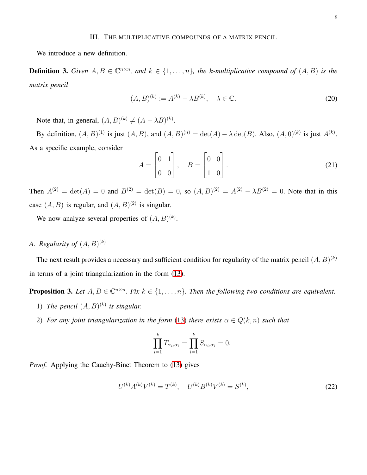#### III. THE MULTIPLICATIVE COMPOUNDS OF A MATRIX PENCIL

<span id="page-8-0"></span>We introduce a new definition.

**Definition 3.** Given  $A, B \in \mathbb{C}^{n \times n}$ , and  $k \in \{1, ..., n\}$ , the k-multiplicative compound of  $(A, B)$  is the *matrix pencil*

$$
(A, B)^{(k)} := A^{(k)} - \lambda B^{(k)}, \quad \lambda \in \mathbb{C}.
$$
 (20)

Note that, in general,  $(A, B)^{(k)} \neq (A - \lambda B)^{(k)}$ .

By definition,  $(A, B)^{(1)}$  is just  $(A, B)$ , and  $(A, B)^{(n)} = \det(A) - \lambda \det(B)$ . Also,  $(A, 0)^{(k)}$  is just  $A^{(k)}$ . As a specific example, consider

$$
A = \begin{bmatrix} 0 & 1 \\ 0 & 0 \end{bmatrix}, \quad B = \begin{bmatrix} 0 & 0 \\ 1 & 0 \end{bmatrix}.
$$
 (21)

Then  $A^{(2)} = det(A) = 0$  and  $B^{(2)} = det(B) = 0$ , so  $(A, B)^{(2)} = A^{(2)} - \lambda B^{(2)} = 0$ . Note that in this case  $(A, B)$  is regular, and  $(A, B)^{(2)}$  is singular.

We now analyze several properties of  $(A, B)^{(k)}$ .

# A. Regularity of  $(A, B)^{(k)}$

The next result provides a necessary and sufficient condition for regularity of the matrix pencil  $(A, B)^{(k)}$ in terms of a joint triangularization in the form [\(13\)](#page-5-2).

<span id="page-8-1"></span>**Proposition 3.** Let  $A, B \in \mathbb{C}^{n \times n}$ . Fix  $k \in \{1, \ldots, n\}$ . Then the following two conditions are equivalent.

- 1) The pencil  $(A, B)^{(k)}$  is singular.
- 2) *For any joint triangularization in the form* [\(13\)](#page-5-2) *there exists*  $\alpha \in Q(k, n)$  *such that*

$$
\prod_{i=1}^k T_{\alpha_i,\alpha_i} = \prod_{i=1}^k S_{\alpha_i,\alpha_i} = 0.
$$

*Proof.* Applying the Cauchy-Binet Theorem to [\(13\)](#page-5-2) gives

$$
U^{(k)}A^{(k)}V^{(k)} = T^{(k)}, \quad U^{(k)}B^{(k)}V^{(k)} = S^{(k)},\tag{22}
$$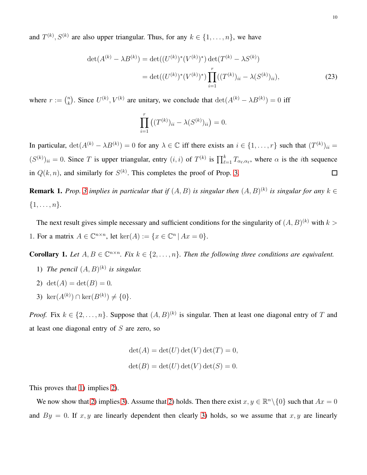and  $T^{(k)}$ ,  $S^{(k)}$  are also upper triangular. Thus, for any  $k \in \{1, \ldots, n\}$ , we have

$$
\det(A^{(k)} - \lambda B^{(k)}) = \det((U^{(k)})^*(V^{(k)})^*) \det(T^{(k)} - \lambda S^{(k)})
$$

$$
= \det((U^{(k)})^*(V^{(k)})^*) \prod_{i=1}^r ((T^{(k)})_{ii} - \lambda (S^{(k)})_{ii}), \tag{23}
$$

where  $r := \binom{n}{k}$ <sup>n</sup><sub>k</sub>). Since  $U^{(k)}$ ,  $V^{(k)}$  are unitary, we conclude that  $\det(A^{(k)} - \lambda B^{(k)}) = 0$  iff

<span id="page-9-4"></span>
$$
\prod_{i=1}^r ((T^{(k)})_{ii} - \lambda (S^{(k)})_{ii}) = 0.
$$

In particular,  $\det(A^{(k)} - \lambda B^{(k)}) = 0$  for any  $\lambda \in \mathbb{C}$  iff there exists an  $i \in \{1, ..., r\}$  such that  $(T^{(k)})_{ii} =$  $(S^{(k)})_{ii} = 0$ . Since T is upper triangular, entry  $(i, i)$  of  $T^{(k)}$  is  $\prod_{\ell=1}^k T_{\alpha_\ell, \alpha_\ell}$ , where  $\alpha$  is the *i*th sequence in  $Q(k, n)$ , and similarly for  $S^{(k)}$ . This completes the proof of Prop. [3.](#page-8-1)  $\Box$ 

**Remark 1.** Prop. [3](#page-8-1) implies in particular that if  $(A, B)$  is singular then  $(A, B)^{(k)}$  is singular for any  $k \in$  $\{1, \ldots, n\}.$ 

The next result gives simple necessary and sufficient conditions for the singularity of  $(A, B)^{(k)}$  with  $k >$ 1. For a matrix  $A \in \mathbb{C}^{n \times n}$ , let  $\ker(A) := \{x \in \mathbb{C}^n \mid Ax = 0\}.$ 

<span id="page-9-3"></span><span id="page-9-0"></span>**Corollary 1.** Let  $A, B \in \mathbb{C}^{n \times n}$ . Fix  $k \in \{2, ..., n\}$ . Then the following three conditions are equivalent.

- <span id="page-9-1"></span>1) The pencil  $(A, B)^{(k)}$  is singular.
- <span id="page-9-2"></span>2)  $\det(A) = \det(B) = 0$ .
- 3) ker $(A^{(k)}) \cap \ker(B^{(k)}) \neq \{0\}.$

*Proof.* Fix  $k \in \{2, ..., n\}$ . Suppose that  $(A, B)^{(k)}$  is singular. Then at least one diagonal entry of T and at least one diagonal entry of  $S$  are zero, so

$$
\det(A) = \det(U) \det(V) \det(T) = 0,
$$
  

$$
\det(B) = \det(U) \det(V) \det(S) = 0.
$$

This proves that [1\)](#page-9-0) implies [2\)](#page-9-1).

We now show that [2\)](#page-9-1) implies [3\)](#page-9-2). Assume that 2) holds. Then there exist  $x, y \in \mathbb{R}^n \setminus \{0\}$  such that  $Ax = 0$ and  $By = 0$ . If  $x, y$  are linearly dependent then clearly [3\)](#page-9-2) holds, so we assume that  $x, y$  are linearly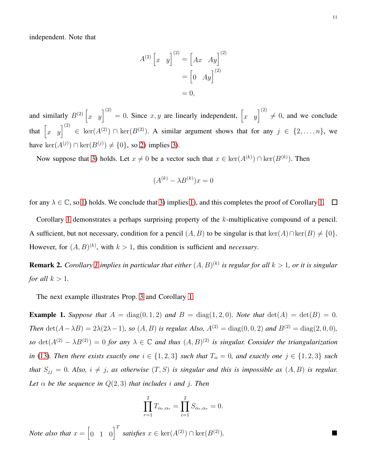independent. Note that

$$
A^{(2)} \begin{bmatrix} x & y \end{bmatrix}^{(2)} = \begin{bmatrix} Ax & Ay \end{bmatrix}^{(2)} = \begin{bmatrix} 0 & Ay \end{bmatrix}^{(2)} = 0,
$$

and similarly  $B^{(2)}\begin{bmatrix} x & y \end{bmatrix}^{(2)} = 0$ . Since  $x, y$  are linearly independent,  $\begin{bmatrix} x & y \end{bmatrix}^{(2)} \neq 0$ , and we conclude that  $\begin{bmatrix} x & y \end{bmatrix}^{(2)} \in \text{ker}(A^{(2)}) \cap \text{ker}(B^{(2)})$ . A similar argument shows that for any  $j \in \{2, ..., n\}$ , we have  $\ker(A^{(j)}) \cap \ker(B^{(j)}) \neq \{0\}$ , so [2\)](#page-9-1) implies [3\)](#page-9-2).

Now suppose that [3\)](#page-9-2) holds. Let  $x \neq 0$  be a vector such that  $x \in \text{ker}(A^{(k)}) \cap \text{ker}(B^{(k)})$ . Then

$$
(A^{(k)} - \lambda B^{(k)})x = 0
$$

for any  $\lambda \in \mathbb{C}$ , so [1\)](#page-9-0) holds. We conclude that [3\)](#page-9-2) implies 1), and this completes the proof of Corollary [1.](#page-9-3)  $\Box$ 

Corollary [1](#page-9-3) demonstrates a perhaps surprising property of the k-multiplicative compound of a pencil. A sufficient, but not necessary, condition for a pencil  $(A, B)$  to be singular is that ker $(A) \cap \text{ker}(B) \neq \{0\}.$ However, for  $(A, B)^{(k)}$ , with  $k > 1$ , this condition is sufficient and *necessary*.

**Remark 2.** Corollary [1](#page-9-3) implies in particular that either  $(A, B)^{(k)}$  is regular for all  $k > 1$ , or it is singular *for all*  $k > 1$ *.* 

The next example illustrates Prop. [3](#page-8-1) and Corollary [1.](#page-9-3)

**Example 1.** *Suppose that*  $A = \text{diag}(0, 1, 2)$  *and*  $B = \text{diag}(1, 2, 0)$ *. Note that*  $\text{det}(A) = \text{det}(B) = 0$ *. Then* det( $A - \lambda B$ ) = 2 $\lambda$ (2 $\lambda$ -1)*, so* (A, B) *is regular. Also,*  $A^{(2)} = \text{diag}(0, 0, 2)$  *and*  $B^{(2)} = \text{diag}(2, 0, 0)$ *,*  $so \, \det(A^{(2)} - \lambda B^{(2)}) = 0$  for any  $\lambda \in \mathbb{C}$  and thus  $(A, B)^{(2)}$  is singular. Consider the triangularization *in* [\(13\)](#page-5-2)*. Then there exists exactly one*  $i \in \{1,2,3\}$  *such that*  $T_{ii} = 0$ *, and exactly one*  $j \in \{1,2,3\}$  *such that*  $S_{jj} = 0$ *. Also,*  $i \neq j$ *, as otherwise*  $(T, S)$  *is singular and this is impossible as*  $(A, B)$  *is regular.* Let  $\alpha$  be the sequence in  $Q(2,3)$  *that includes i* and *j*. Then

$$
\prod_{r=1}^{2} T_{\alpha_r,\alpha_r} = \prod_{i=1}^{2} S_{\alpha_r,\alpha_r} = 0.
$$

*Note also that*  $x = \begin{bmatrix} 0 & 1 & 0 \end{bmatrix}^T$  *satisfies*  $x \in \text{ker}(A^{(2)}) \cap \text{ker}(B^{(2)})$ *.*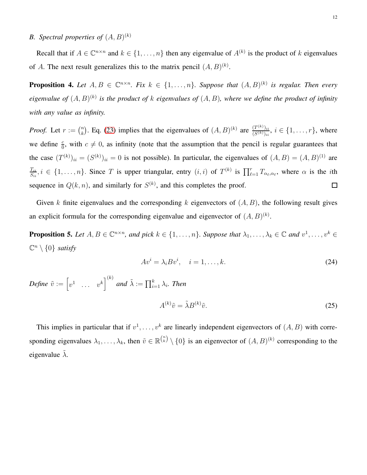# *B.* Spectral properties of  $(A, B)^{(k)}$

Recall that if  $A \in \mathbb{C}^{n \times n}$  and  $k \in \{1, \ldots, n\}$  then any eigenvalue of  $A^{(k)}$  is the product of k eigenvalues of A. The next result generalizes this to the matrix pencil  $(A, B)^{(k)}$ .

<span id="page-11-1"></span>**Proposition 4.** Let  $A, B \in \mathbb{C}^{n \times n}$ . Fix  $k \in \{1, \ldots, n\}$ . Suppose that  $(A, B)^{(k)}$  is regular. Then every *eigenvalue of*  $(A, B)^{(k)}$  is the product of k eigenvalues of  $(A, B)$ , where we define the product of infinity *with any value as infinity.*

<sup>n</sup><sub>k</sub>). Eq. [\(23\)](#page-9-4) implies that the eigenvalues of  $(A, B)^{(k)}$  are  $\frac{(T^{(k)})_{ii}}{(S^{(k)})_{ii}}$ *Proof.* Let  $r := \binom{n}{k}$  $\frac{(T^{(n)})_{ii}}{(S^{(k)})_{ii}}, i \in \{1, \ldots, r\},$  where we define  $\frac{c}{0}$ , with  $c \neq 0$ , as infinity (note that the assumption that the pencil is regular guarantees that the case  $(T^{(k)})_{ii} = (S^{(k)})_{ii} = 0$  is not possible). In particular, the eigenvalues of  $(A, B) = (A, B)^{(1)}$  are  $\frac{T_{ii}}{S_{ii}}$ ,  $i \in \{1, \ldots, n\}$ . Since T is upper triangular, entry  $(i,i)$  of  $T^{(k)}$  is  $\prod_{\ell=1}^r T_{\alpha_\ell,\alpha_\ell}$ , where  $\alpha$  is the *i*th  $\mathit{T}_{ii}$ sequence in  $Q(k, n)$ , and similarly for  $S^{(k)}$ , and this completes the proof.  $\Box$ 

Given k finite eigenvalues and the corresponding k eigenvectors of  $(A, B)$ , the following result gives an explicit formula for the corresponding eigenvalue and eigenvector of  $(A, B)^{(k)}$ .

**Proposition 5.** Let  $A, B \in \mathbb{C}^{n \times n}$ , and pick  $k \in \{1, ..., n\}$ . Suppose that  $\lambda_1, ..., \lambda_k \in \mathbb{C}$  and  $v^1, ..., v^k \in$  $\mathbb{C}^n \setminus \{0\}$  *satisfy* 

<span id="page-11-0"></span>
$$
Av^{i} = \lambda_{i} B v^{i}, \quad i = 1, \dots, k. \tag{24}
$$

*Define*  $\tilde{v} := \begin{bmatrix} v^1 & \dots & v^k \end{bmatrix}^{(k)}$  and  $\tilde{\lambda} := \prod_{i=1}^k \lambda_i$ . Then

$$
A^{(k)}\tilde{v} = \tilde{\lambda}B^{(k)}\tilde{v}.\tag{25}
$$

This implies in particular that if  $v^1, \ldots, v^k$  are linearly independent eigenvectors of  $(A, B)$  with corresponding eigenvalues  $\lambda_1, \ldots, \lambda_k$ , then  $\tilde{v} \in \mathbb{R}^{n \choose k} \setminus \{0\}$  is an eigenvector of  $(A, B)^{(k)}$  corresponding to the eigenvalue  $\lambda$ .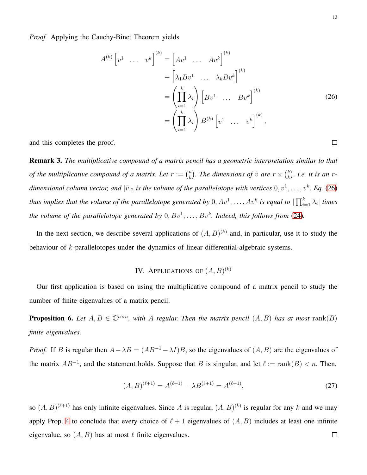*Proof.* Applying the Cauchy-Binet Theorem yields

$$
A^{(k)}\begin{bmatrix} v^1 & \cdots & v^k \end{bmatrix}^{(k)} = \begin{bmatrix} Av^1 & \cdots & Av^k \end{bmatrix}^{(k)}
$$

$$
= \begin{bmatrix} \lambda_1 B v^1 & \cdots & \lambda_k B v^k \end{bmatrix}^{(k)}
$$

$$
= \left(\prod_{i=1}^k \lambda_i\right) \begin{bmatrix} B v^1 & \cdots & B v^k \end{bmatrix}^{(k)}
$$

$$
= \left(\prod_{i=1}^k \lambda_i\right) B^{(k)}\begin{bmatrix} v^1 & \cdots & v^k \end{bmatrix}^{(k)},
$$
(26)

and this completes the proof.

Remark 3. *The multiplicative compound of a matrix pencil has a geometric interpretation similar to that of the multiplicative compound of a matrix. Let*  $r := \binom{n}{k}$  $\binom{n}{k}$ . The dimensions of  $\tilde{v}$  are  $r \times \binom{k}{k}$  $\binom{k}{k}$ , *i.e.* it is an rdimensional column vector, and  $|\tilde{v}|_2$  is the volume of the parallelotope with vertices  $0, v^1, \ldots, v^k$ . Eq. [\(26\)](#page-12-1) thus implies that the volume of the parallelotope generated by  $0, Av^1, \ldots, Av^k$  is equal to  $|\prod_{i=1}^k\lambda_i|$  times the volume of the parallelotope generated by  $0, Bv^1, \ldots, Bv^k$ . Indeed, this follows from [\(24\)](#page-11-0).

<span id="page-12-0"></span>In the next section, we describe several applications of  $(A, B)^{(k)}$  and, in particular, use it to study the behaviour of k-parallelotopes under the dynamics of linear differential-algebraic systems.

# IV. APPLICATIONS OF  $(A,B)^{(k)}$

Our first application is based on using the multiplicative compound of a matrix pencil to study the number of finite eigenvalues of a matrix pencil.

<span id="page-12-2"></span>**Proposition 6.** Let  $A, B \in \mathbb{C}^{n \times n}$ , with A regular. Then the matrix pencil  $(A, B)$  has at most rank $(B)$ *finite eigenvalues.*

*Proof.* If B is regular then  $A - \lambda B = (AB^{-1} - \lambda I)B$ , so the eigenvalues of  $(A, B)$  are the eigenvalues of the matrix  $AB^{-1}$ , and the statement holds. Suppose that B is singular, and let  $\ell := \text{rank}(B) < n$ . Then,

$$
(A,B)^{(\ell+1)} = A^{(\ell+1)} - \lambda B^{(\ell+1)} = A^{(\ell+1)},\tag{27}
$$

so  $(A, B)^{(\ell+1)}$  has only infinite eigenvalues. Since A is regular,  $(A, B)^{(k)}$  is regular for any k and we may apply Prop. [4](#page-11-1) to conclude that every choice of  $\ell + 1$  eigenvalues of  $(A, B)$  includes at least one infinite eigenvalue, so  $(A, B)$  has at most  $\ell$  finite eigenvalues.  $\Box$ 

<span id="page-12-1"></span> $\Box$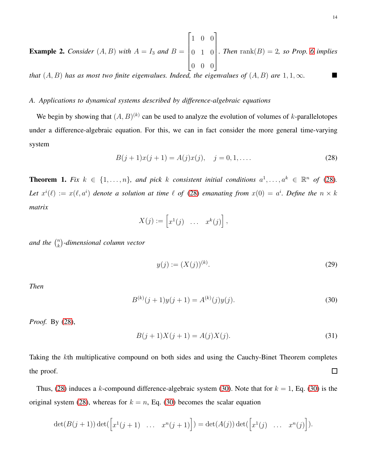**Example 2.** *Consider*  $(A, B)$  *with*  $A = I_3$  *and*  $B =$  $\sqrt{ }$  1 0 0 0 1 0 0 0 0 1  $\begin{array}{c} \hline \end{array}$ *a Then*  $\text{rank}(B) = 2$ *, so Prop.* [6](#page-12-2) *implies* 

*that*  $(A, B)$  *has as most two finite eigenvalues. Indeed, the eigenvalues of*  $(A, B)$  *are* 1, 1,  $\infty$ .

# *A. Applications to dynamical systems described by difference-algebraic equations*

We begin by showing that  $(A, B)^{(k)}$  can be used to analyze the evolution of volumes of k-parallelotopes under a difference-algebraic equation. For this, we can in fact consider the more general time-varying system

<span id="page-13-0"></span>
$$
B(j + 1)x(j + 1) = A(j)x(j), \quad j = 0, 1, ....
$$
\n(28)

<span id="page-13-2"></span>**Theorem 1.** Fix  $k \in \{1, \ldots, n\}$ , and pick k consistent initial conditions  $a^1, \ldots, a^k \in \mathbb{R}^n$  of [\(28\)](#page-13-0). Let  $x^i(\ell) := x(\ell, a^i)$  denote a solution at time  $\ell$  of [\(28\)](#page-13-0) emanating from  $x(0) = a^i$ . Define the  $n \times k$ *matrix*

$$
X(j) := \left[ x^1(j) \quad \dots \quad x^k(j) \right],
$$

*and the*  $\binom{n}{k}$ k *-dimensional column vector*

<span id="page-13-3"></span>
$$
y(j) := (X(j))^{(k)}.
$$
\n(29)

*Then*

<span id="page-13-1"></span>
$$
B^{(k)}(j+1)y(j+1) = A^{(k)}(j)y(j).
$$
\n(30)

*Proof.* By [\(28\)](#page-13-0),

$$
B(j+1)X(j+1) = A(j)X(j).
$$
\n(31)

Taking the kth multiplicative compound on both sides and using the Cauchy-Binet Theorem completes the proof.  $\Box$ 

Thus, [\(28\)](#page-13-0) induces a k-compound difference-algebraic system [\(30\)](#page-13-1). Note that for  $k = 1$ , Eq. (30) is the original system [\(28\)](#page-13-0), whereas for  $k = n$ , Eq. [\(30\)](#page-13-1) becomes the scalar equation

$$
\det(B(j+1))\det(\begin{bmatrix}x^1(j+1)&\dots&x^n(j+1)\end{bmatrix})=\det(A(j))\det(\begin{bmatrix}x^1(j)&\dots&x^n(j)\end{bmatrix}).
$$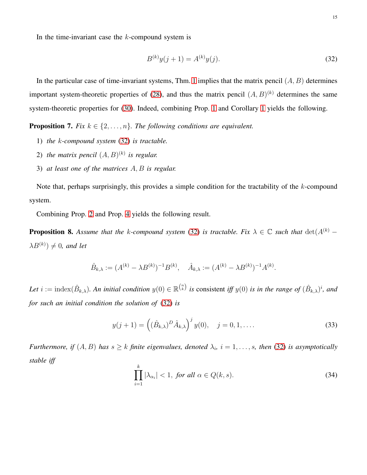In the time-invariant case the  $k$ -compound system is

<span id="page-14-0"></span>
$$
B^{(k)}y(j+1) = A^{(k)}y(j).
$$
\n(32)

In the particular case of time-invariant systems, Thm. [1](#page-13-2) implies that the matrix pencil  $(A, B)$  determines important system-theoretic properties of [\(28\)](#page-13-0), and thus the matrix pencil  $(A, B)^{(k)}$  determines the same system-theoretic properties for [\(30\)](#page-13-1). Indeed, combining Prop. [1](#page-7-0) and Corollary [1](#page-9-3) yields the following.

<span id="page-14-2"></span>**Proposition 7.** *Fix*  $k \in \{2, \ldots, n\}$ *. The following conditions are equivalent.* 

- 1) *the* k*-compound system* [\(32\)](#page-14-0) *is tractable.*
- 2) the matrix pencil  $(A, B)^{(k)}$  is regular.
- 3) *at least one of the matrices* A, B *is regular.*

Note that, perhaps surprisingly, this provides a simple condition for the tractability of the  $k$ -compound system.

Combining Prop. [2](#page-7-1) and Prop. [4](#page-11-1) yields the following result.

**Proposition 8.** Assume that the k-compound system [\(32\)](#page-14-0) is tractable. Fix  $\lambda \in \mathbb{C}$  such that  $\det(A^{(k)} \lambda B^{(k)}$ )  $\neq 0$ , and let

$$
\hat{B}_{k,\lambda} := (A^{(k)} - \lambda B^{(k)})^{-1} B^{(k)}, \quad \hat{A}_{k,\lambda} := (A^{(k)} - \lambda B^{(k)})^{-1} A^{(k)}.
$$

Let  $i := \text{index}(\hat{B}_{k,\lambda})$ . An initial condition  $y(0) \in \mathbb{R}^{\binom{n}{k}}$  is consistent iff  $y(0)$  is in the range of  $(\hat{B}_{k,\lambda})^i$ , and *for such an initial condition the solution of* [\(32\)](#page-14-0) *is*

$$
y(j+1) = ((\hat{B}_{k,\lambda})^D \hat{A}_{k,\lambda})^j y(0), \quad j = 0, 1, ....
$$
 (33)

*Furthermore, if*  $(A, B)$  *has*  $s \geq k$  *finite eigenvalues, denoted*  $\lambda_i$ ,  $i = 1, \ldots, s$ , *then* [\(32\)](#page-14-0) *is asymptotically stable iff*

<span id="page-14-1"></span>
$$
\prod_{i=1}^{k} |\lambda_{\alpha_i}| < 1, \text{ for all } \alpha \in Q(k, s). \tag{34}
$$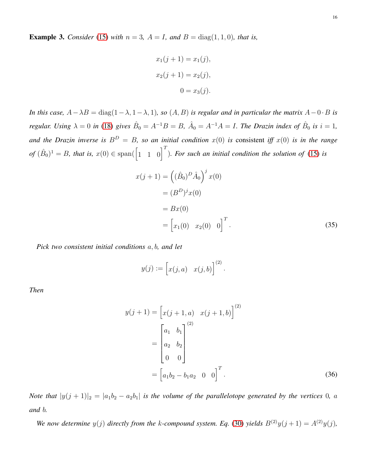**Example 3.** *Consider* [\(15\)](#page-6-0) *with*  $n = 3$ ,  $A = I$ , and  $B = \text{diag}(1, 1, 0)$ *, that is,* 

$$
x_1(j + 1) = x_1(j),
$$
  

$$
x_2(j + 1) = x_2(j),
$$
  

$$
0 = x_3(j).
$$

*In this case,*  $A - \lambda B = \text{diag}(1 - \lambda, 1 - \lambda, 1)$ *, so*  $(A, B)$  *is regular and in particular the matrix*  $A - 0 \cdot B$  *is regular. Using*  $\lambda = 0$  *in* [\(18\)](#page-7-2) *gives*  $\hat{B}_0 = A^{-1}B = B$ ,  $\hat{A}_0 = A^{-1}A = I$ . The Drazin index of  $\hat{B}_0$  is  $i = 1$ , and the Drazin inverse is  $B^D = B$ , so an initial condition  $x(0)$  is consistent iff  $x(0)$  is in the range  $of$   $(\hat{B}_0)^1 = B$ , that is,  $x(0) \in \text{span}(\begin{bmatrix} 1 & 1 & 0 \end{bmatrix}^T)$ . For such an initial condition the solution of [\(15\)](#page-6-0) is

$$
x(j + 1) = ((\hat{B}_0)^D \hat{A}_0)^j x(0)
$$
  
=  $(B^D)^j x(0)$   
=  $Bx(0)$   
=  $[x_1(0) \quad x_2(0) \quad 0]^T$ . (35)

*Pick two consistent initial conditions* a, b*, and let*

$$
y(j) := [x(j, a) \quad x(j, b)]^{(2)}.
$$

*Then*

$$
y(j+1) = \begin{bmatrix} x(j+1, a) & x(j+1, b) \end{bmatrix}^{(2)}
$$

$$
= \begin{bmatrix} a_1 & b_1 \\ a_2 & b_2 \\ 0 & 0 \end{bmatrix}
$$

$$
= \begin{bmatrix} a_1b_2 - b_1a_2 & 0 & 0 \end{bmatrix}^T.
$$
(36)

*Note that*  $|y(j + 1)|_2 = |a_1b_2 - a_2b_1|$  *is the volume of the parallelotope generated by the vertices* 0*, a and* b*.*

*We now determine*  $y(j)$  *directly from the k-compound system. Eq.* [\(30\)](#page-13-1) *yields*  $B^{(2)}y(j+1) = A^{(2)}y(j)$ *,*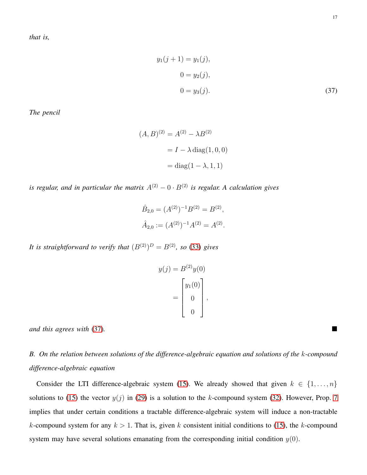<span id="page-16-0"></span>
$$
y_1(j + 1) = y_1(j),
$$
  
\n
$$
0 = y_2(j),
$$
  
\n
$$
0 = y_3(j).
$$
\n(37)

*The pencil*

$$
(A, B)^{(2)} = A^{(2)} - \lambda B^{(2)}
$$

$$
= I - \lambda \operatorname{diag}(1, 0, 0)
$$

$$
= \operatorname{diag}(1 - \lambda, 1, 1)
$$

*is regular, and in particular the matrix*  $A^{(2)} - 0 \cdot B^{(2)}$  *is regular. A calculation gives* 

$$
\hat{B}_{2,0} = (A^{(2)})^{-1} B^{(2)} = B^{(2)},
$$
  

$$
\hat{A}_{2,0} := (A^{(2)})^{-1} A^{(2)} = A^{(2)}.
$$

It is straightforward to verify that  $(B^{(2)})^D = B^{(2)}$ , so [\(33\)](#page-14-1) gives

$$
y(j) = B(2)y(0)
$$

$$
= \begin{bmatrix} y_1(0) \\ 0 \\ 0 \end{bmatrix},
$$

*and this agrees with* [\(37\)](#page-16-0)*.*

*B. On the relation between solutions of the difference-algebraic equation and solutions of the* k*-compound difference-algebraic equation*

Consider the LTI difference-algebraic system [\(15\)](#page-6-0). We already showed that given  $k \in \{1, \ldots, n\}$ solutions to [\(15\)](#page-6-0) the vector  $y(j)$  in [\(29\)](#page-13-3) is a solution to the k-compound system [\(32\)](#page-14-0). However, Prop. [7](#page-14-2) implies that under certain conditions a tractable difference-algebraic system will induce a non-tractable k-compound system for any  $k > 1$ . That is, given k consistent initial conditions to [\(15\)](#page-6-0), the k-compound system may have several solutions emanating from the corresponding initial condition  $y(0)$ .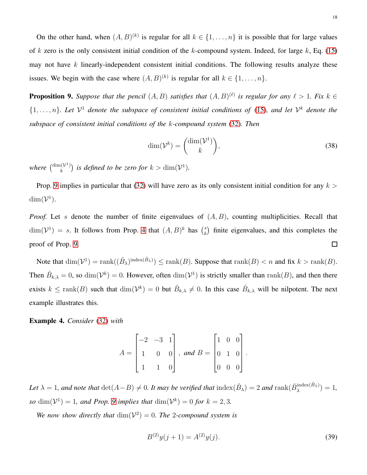On the other hand, when  $(A, B)^{(k)}$  is regular for all  $k \in \{1, \ldots, n\}$  it is possible that for large values of k zero is the only consistent initial condition of the k-compound system. Indeed, for large  $k$ , Eq. [\(15\)](#page-6-0) may not have  $k$  linearly-independent consistent initial conditions. The following results analyze these issues. We begin with the case where  $(A, B)^{(k)}$  is regular for all  $k \in \{1, \ldots, n\}$ .

<span id="page-17-0"></span>**Proposition 9.** Suppose that the pencil  $(A, B)$  satisfies that  $(A, B)^{(\ell)}$  is regular for any  $\ell > 1$ . Fix  $k \in$  $\{1,\ldots,n\}$ . Let  $\mathcal{V}^1$  denote the subspace of consistent initial conditions of [\(15\)](#page-6-0), and let  $\mathcal{V}^k$  denote the *subspace of consistent initial conditions of the* k*-compound system* [\(32\)](#page-14-0)*. Then*

$$
\dim(\mathcal{V}^k) = \binom{\dim(\mathcal{V}^1)}{k},\tag{38}
$$

where  $\binom{\dim(\mathcal{V}^1)}{k}$  $\binom{n(V^1)}{k}$  is defined to be zero for  $k > \dim(\mathcal{V}^1)$ .

Prop. [9](#page-17-0) implies in particular that [\(32\)](#page-14-0) will have zero as its only consistent initial condition for any  $k >$  $\dim(\mathcal{V}^1)$ .

*Proof.* Let s denote the number of finite eigenvalues of  $(A, B)$ , counting multiplicities. Recall that  $\dim(\mathcal{V}^1) = s$ . It follows from Prop. [4](#page-11-1) that  $(A, B)^k$  has  $\binom{s}{k}$  $\binom{s}{k}$  finite eigenvalues, and this completes the proof of Prop. [9.](#page-17-0)  $\Box$ 

Note that  $\dim(\mathcal{V}^1) = \text{rank}((\hat{B}_{\lambda})^{\text{index}(\hat{B}_{\lambda})}) \le \text{rank}(B)$ . Suppose that  $\text{rank}(B) < n$  and fix  $k > \text{rank}(B)$ . Then  $\hat{B}_{k,\lambda} = 0$ , so  $\dim(\mathcal{V}^k) = 0$ . However, often  $\dim(\mathcal{V}^1)$  is strictly smaller than  $\text{rank}(B)$ , and then there exists  $k \le \text{rank}(B)$  such that  $\dim(\mathcal{V}^k) = 0$  but  $\hat{B}_{k,\lambda} \ne 0$ . In this case  $\hat{B}_{k,\lambda}$  will be nilpotent. The next example illustrates this.

Example 4. *Consider* [\(32\)](#page-14-0) *with*

$$
A = \begin{bmatrix} -2 & -3 & 1 \\ 1 & 0 & 0 \\ 1 & 1 & 0 \end{bmatrix}, \text{ and } B = \begin{bmatrix} 1 & 0 & 0 \\ 0 & 1 & 0 \\ 0 & 0 & 0 \end{bmatrix}.
$$

Let  $\lambda = 1$ , and note that  $\det(A-B) \neq 0$ . It may be verified that  $\text{index}(\hat{B}_{\lambda}) = 2$  and  $\text{rank}(\hat{B}_{\lambda}^{\text{index}(\hat{B}_{\lambda})})$  $\lambda^{(\text{max}(B_{\lambda}))} = 1$ , so  $\dim(\mathcal{V}^1) = 1$ , and Prop. [9](#page-17-0) implies that  $\dim(\mathcal{V}^k) = 0$  for  $k = 2, 3$ .

We now show directly that  $\dim(\mathcal{V}^2) = 0$ . The 2-compound system is

<span id="page-17-1"></span>
$$
B^{(2)}y(j+1) = A^{(2)}y(j).
$$
\n(39)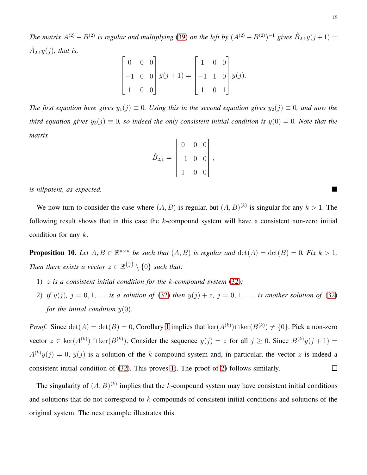*The matrix*  $A^{(2)} - B^{(2)}$  *is regular and multiplying* [\(39\)](#page-17-1) *on the left by*  $(A^{(2)} - B^{(2)})^{-1}$  *gives*  $\hat{B}_{2,1}y(j+1) =$  $\hat{A}_{2,1}y(j)$ , that is,

$$
\begin{bmatrix} 0 & 0 & 0 \\ -1 & 0 & 0 \\ 1 & 0 & 0 \end{bmatrix} y(j+1) = \begin{bmatrix} 1 & 0 & 0 \\ -1 & 1 & 0 \\ 1 & 0 & 1 \end{bmatrix} y(j).
$$

*The first equation here gives*  $y_1(j) \equiv 0$ *. Using this in the second equation gives*  $y_2(j) \equiv 0$ *, and now the third equation gives*  $y_3(j) \equiv 0$ *, so indeed the only consistent initial condition is*  $y(0) = 0$ *. Note that the matrix*

|                 | $\overline{0}$ | 0 |  |
|-----------------|----------------|---|--|
| $\hat{B}_{2,1}$ | $\overline{0}$ | 0 |  |
|                 | 0              | 0 |  |

,

*is nilpotent, as expected.*

We now turn to consider the case where  $(A, B)$  is regular, but  $(A, B)^{(k)}$  is singular for any  $k > 1$ . The following result shows that in this case the k-compound system will have a consistent non-zero initial condition for any k.

<span id="page-18-0"></span>**Proposition 10.** Let  $A, B \in \mathbb{R}^{n \times n}$  be such that  $(A, B)$  is regular and  $det(A) = det(B) = 0$ . Fix  $k > 1$ . *Then there exists a vector*  $z \in \mathbb{R}^{n \choose k} \setminus \{0\}$  *such that:* 

- <span id="page-18-1"></span>1) z *is a consistent initial condition for the* k*-compound system* [\(32\)](#page-14-0)*;*
- 2) *if*  $y(j)$ ,  $j = 0, 1, \ldots$  *is a solution of* [\(32\)](#page-14-0) *then*  $y(j) + z$ ,  $j = 0, 1, \ldots$ , *is another solution of* (32) *for the initial condition*  $y(0)$ *.*

*Proof.* Since  $\det(A) = \det(B) = 0$ , Corollary [1](#page-9-3) implies that  $\ker(A^{(k)}) \cap \ker(B^{(k)}) \neq \{0\}$ . Pick a non-zero vector  $z \in \text{ker}(A^{(k)}) \cap \text{ker}(B^{(k)})$ . Consider the sequence  $y(j) = z$  for all  $j \ge 0$ . Since  $B^{(k)}y(j+1) = z$  $A^{(k)}y(j) = 0$ ,  $y(j)$  is a solution of the k-compound system and, in particular, the vector z is indeed a consistent initial condition of [\(32\)](#page-14-0). This proves [1\)](#page-18-0). The proof of [2\)](#page-18-1) follows similarly.  $\Box$ 

The singularity of  $(A, B)^{(k)}$  implies that the k-compound system may have consistent initial conditions and solutions that do not correspond to k-compounds of consistent initial conditions and solutions of the original system. The next example illustrates this.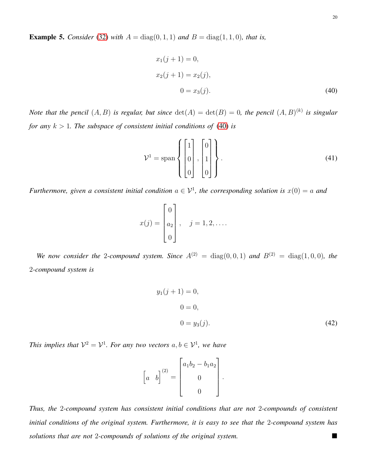**Example 5.** *Consider* [\(32\)](#page-14-0) *with*  $A = \text{diag}(0, 1, 1)$  *and*  $B = \text{diag}(1, 1, 0)$ *, that is,* 

<span id="page-19-0"></span>
$$
x_1(j + 1) = 0,
$$
  
\n
$$
x_2(j + 1) = x_2(j),
$$
  
\n
$$
0 = x_3(j).
$$
\n(40)

*Note that the pencil*  $(A, B)$  *is regular, but since*  $\det(A) = \det(B) = 0$ , the pencil  $(A, B)^{(k)}$  *is singular for any*  $k > 1$ *. The subspace of consistent initial conditions of* [\(40\)](#page-19-0) *is* 

$$
\mathcal{V}^1 = \text{span}\left\{ \begin{bmatrix} 1 \\ 0 \\ 0 \end{bmatrix}, \begin{bmatrix} 0 \\ 1 \\ 0 \end{bmatrix} \right\}.
$$
 (41)

*Furthermore, given a consistent initial condition*  $a \in \mathcal{V}^1$ , the corresponding solution is  $x(0) = a$  and

$$
x(j) = \begin{bmatrix} 0 \\ a_2 \\ 0 \end{bmatrix}, \quad j = 1, 2, \dots
$$

*We now consider the 2-compound system. Since*  $A^{(2)} = \text{diag}(0,0,1)$  *and*  $B^{(2)} = \text{diag}(1,0,0)$ *, the* 2*-compound system is*

$$
y_1(j + 1) = 0,
$$
  
\n
$$
0 = 0,
$$
  
\n
$$
0 = y_3(j).
$$
\n(42)

*This implies that*  $\mathcal{V}^2 = \mathcal{V}^1$ *. For any two vectors*  $a, b \in \mathcal{V}^1$ *, we have* 

$$
\begin{bmatrix} a & b \end{bmatrix}^{(2)} = \begin{bmatrix} a_1b_2 - b_1a_2 \\ 0 \\ 0 \end{bmatrix}.
$$

*Thus, the* 2*-compound system has consistent initial conditions that are not* 2*-compounds of consistent initial conditions of the original system. Furthermore, it is easy to see that the* 2*-compound system has solutions that are not* 2*-compounds of solutions of the original system.*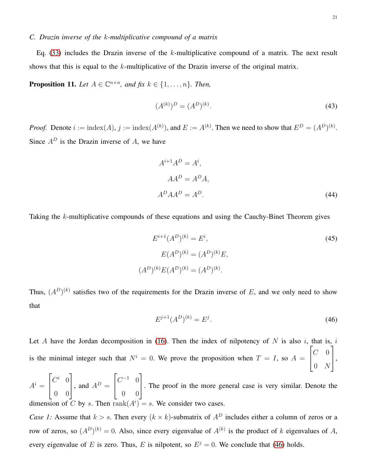# *C. Drazin inverse of the* k*-multiplicative compound of a matrix*

Eq.  $(33)$  includes the Drazin inverse of the k-multiplicative compound of a matrix. The next result shows that this is equal to the  $k$ -multiplicative of the Drazin inverse of the original matrix.

<span id="page-20-2"></span>**Proposition 11.** Let  $A \in \mathbb{C}^{n \times n}$ , and fix  $k \in \{1, \ldots, n\}$ . Then,

$$
(A^{(k)})^D = (A^D)^{(k)}.\tag{43}
$$

*Proof.* Denote  $i := \text{index}(A), j := \text{index}(A^{(k)})$ , and  $E := A^{(k)}$ . Then we need to show that  $E^D = (A^D)^{(k)}$ . Since  $A^D$  is the Drazin inverse of A, we have

<span id="page-20-1"></span>
$$
A^{i+1}A^D = A^i,
$$
  
\n
$$
AA^D = A^DA,
$$
  
\n
$$
A^D A A^D = A^D.
$$
\n(44)

Taking the k-multiplicative compounds of these equations and using the Cauchy-Binet Theorem gives

$$
E^{i+1}(A^D)^{(k)} = E^i,
$$
  
\n
$$
E(A^D)^{(k)} = (A^D)^{(k)}E,
$$
  
\n
$$
(A^D)^{(k)}E(A^D)^{(k)} = (A^D)^{(k)}.
$$
\n(45)

Thus,  $(A^D)^{(k)}$  satisfies two of the requirements for the Drazin inverse of E, and we only need to show that

<span id="page-20-0"></span>
$$
E^{j+1}(A^D)^{(k)} = E^j.
$$
\n(46)

Let A have the Jordan decomposition in [\(16\)](#page-7-3). Then the index of nilpotency of  $N$  is also i, that is, i is the minimal integer such that  $N^i = 0$ . We prove the proposition when  $T = I$ , so  $A =$  $\sqrt{ }$  $\overline{1}$  $C \quad 0$  $0 \quad N$ 1  $\vert \cdot$ 

 $A^i =$  $\sqrt{ }$  $\overline{1}$  $C^i$  0  $0 \quad 0$ 1  $\Big\}$ , and  $A^D =$  $\sqrt{ }$  $\overline{1}$  $C^{-1}$  0 0 0 1 . The proof in the more general case is very similar. Denote the dimension of C by s. Then  $rank(A^i) = s$ . We consider two cases.

*Case 1:* Assume that  $k > s$ . Then every  $(k \times k)$ -submatrix of  $A<sup>D</sup>$  includes either a column of zeros or a row of zeros, so  $(A^D)^{(k)} = 0$ . Also, since every eigenvalue of  $A^{(k)}$  is the product of k eigenvalues of A, every eigenvalue of E is zero. Thus, E is nilpotent, so  $E^{j} = 0$ . We conclude that [\(46\)](#page-20-0) holds.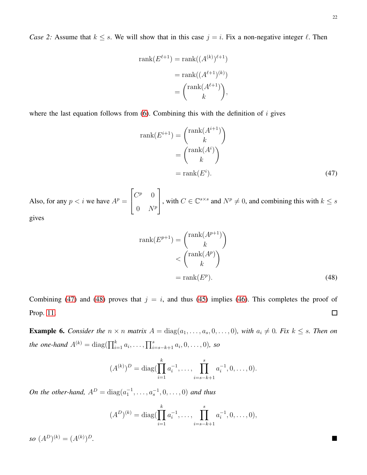*Case 2:* Assume that  $k \leq s$ . We will show that in this case  $j = i$ . Fix a non-negative integer  $\ell$ . Then

$$
rank(E^{\ell+1}) = rank((A^{(k)})^{\ell+1})
$$

$$
= rank((A^{\ell+1})^{(k)})
$$

$$
= {rank((A^{\ell+1})^{\ell}) \choose k},
$$

where the last equation follows from  $(6)$ . Combining this with the definition of i gives

<span id="page-21-0"></span>
$$
rank(E^{i+1}) = {rank(A^{i+1}) \choose k}
$$
  
=  ${rank(A^i) \choose k}$   
=  $rank(E^i)$ . (47)

Also, for any  $p < i$  we have  $A^p =$  $\sqrt{ }$  $\overline{1}$  $C^p$  0  $0 \quad N^p$ 1 , with  $C \in \mathbb{C}^{s \times s}$  and  $N^p \neq 0$ , and combining this with  $k \leq s$ gives

<span id="page-21-1"></span>
$$
rank(E^{p+1}) = {rank(A^{p+1}) \choose k} \n
$$
< {rank(A^p) \choose k} \n= rank(E^p).
$$
\n(48)
$$

Combining [\(47\)](#page-21-0) and [\(48\)](#page-21-1) proves that  $j = i$ , and thus [\(45\)](#page-20-1) implies [\(46\)](#page-20-0). This completes the proof of Prop. [11.](#page-20-2)  $\Box$ 

**Example 6.** Consider the  $n \times n$  matrix  $A = \text{diag}(a_1, \ldots, a_s, 0, \ldots, 0)$ , with  $a_i \neq 0$ . Fix  $k \leq s$ . Then on *the one-hand*  $A^{(k)} = \text{diag}(\prod_{i=1}^{k} a_i, \ldots, \prod_{i=s-k+1}^{s} a_i, 0, \ldots, 0)$ *, so* 

$$
(A^{(k)})^D = \operatorname{diag}(\prod_{i=1}^k a_i^{-1}, \dots, \prod_{i=s-k+1}^s a_i^{-1}, 0, \dots, 0).
$$

*On the other-hand,*  $A^D = \text{diag}(a_1^{-1}, \dots, a_s^{-1}, 0, \dots, 0)$  *and thus* 

$$
(AD)(k) = diag(\prod_{i=1}^{k} a_i^{-1}, \dots, \prod_{i=s-k+1}^{s} a_i^{-1}, 0, \dots, 0),
$$

*so*  $(A^D)^{(k)} = (A^{(k)})$ <sup>D</sup>*.*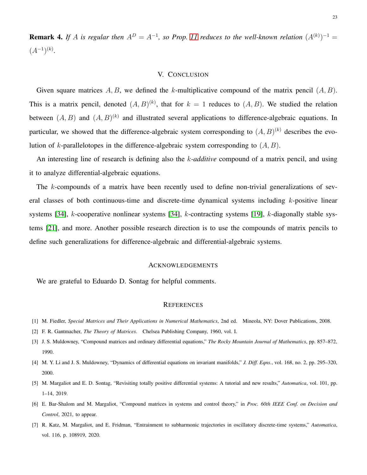**Remark 4.** If A is regular then  $A^D = A^{-1}$ , so Prop. [11](#page-20-2) reduces to the well-known relation  $(A^{(k)})^{-1} =$  $(A^{-1})^{(k)}$ .

## V. CONCLUSION

Given square matrices  $A, B$ , we defined the k-multiplicative compound of the matrix pencil  $(A, B)$ . This is a matrix pencil, denoted  $(A, B)^{(k)}$ , that for  $k = 1$  reduces to  $(A, B)$ . We studied the relation between  $(A, B)$  and  $(A, B)^{(k)}$  and illustrated several applications to difference-algebraic equations. In particular, we showed that the difference-algebraic system corresponding to  $(A, B)^{(k)}$  describes the evolution of k-parallelotopes in the difference-algebraic system corresponding to  $(A, B)$ .

An interesting line of research is defining also the k*-additive* compound of a matrix pencil, and using it to analyze differential-algebraic equations.

The k-compounds of a matrix have been recently used to define non-trivial generalizations of several classes of both continuous-time and discrete-time dynamical systems including  $k$ -positive linear systems [\[34\]](#page-24-4), k-cooperative nonlinear systems [\[34\]](#page-24-4), k-contracting systems [\[19\]](#page-23-11), k-diagonally stable systems [\[21\]](#page-23-13), and more. Another possible research direction is to use the compounds of matrix pencils to define such generalizations for difference-algebraic and differential-algebraic systems.

## ACKNOWLEDGEMENTS

We are grateful to Eduardo D. Sontag for helpful comments.

### **REFERENCES**

- <span id="page-22-1"></span><span id="page-22-0"></span>[1] M. Fiedler, *Special Matrices and Their Applications in Numerical Mathematics*, 2nd ed. Mineola, NY: Dover Publications, 2008.
- <span id="page-22-2"></span>[2] F. R. Gantmacher, *The Theory of Matrices*. Chelsea Publishing Company, 1960, vol. I.
- <span id="page-22-3"></span>[3] J. S. Muldowney, "Compound matrices and ordinary differential equations," *The Rocky Mountain Journal of Mathematics*, pp. 857–872, 1990.
- <span id="page-22-4"></span>[4] M. Y. Li and J. S. Muldowney, "Dynamics of differential equations on invariant manifolds," *J. Diff. Eqns.*, vol. 168, no. 2, pp. 295–320, 2000.
- <span id="page-22-5"></span>[5] M. Margaliot and E. D. Sontag, "Revisiting totally positive differential systems: A tutorial and new results," *Automatica*, vol. 101, pp. 1–14, 2019.
- <span id="page-22-6"></span>[6] E. Bar-Shalom and M. Margaliot, "Compound matrices in systems and control theory," in *Proc. 60th IEEE Conf. on Decision and Control*, 2021, to appear.
- [7] R. Katz, M. Margaliot, and E. Fridman, "Entrainment to subharmonic trajectories in oscillatory discrete-time systems," *Automatica*, vol. 116, p. 108919, 2020.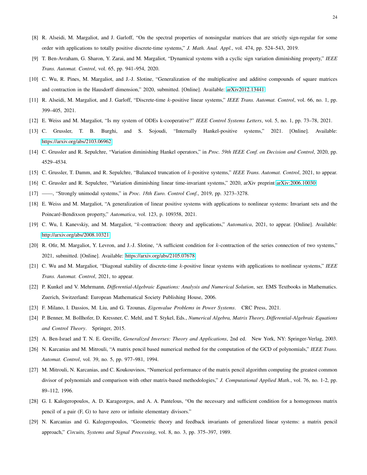- <span id="page-23-1"></span><span id="page-23-0"></span>[8] R. Alseidi, M. Margaliot, and J. Garloff, "On the spectral properties of nonsingular matrices that are strictly sign-regular for some order with applications to totally positive discrete-time systems," *J. Math. Anal. Appl.*, vol. 474, pp. 524–543, 2019.
- <span id="page-23-2"></span>[9] T. Ben-Avraham, G. Sharon, Y. Zarai, and M. Margaliot, "Dynamical systems with a cyclic sign variation diminishing property," *IEEE Trans. Automat. Control*, vol. 65, pp. 941–954, 2020.
- <span id="page-23-3"></span>[10] C. Wu, R. Pines, M. Margaliot, and J.-J. Slotine, "Generalization of the multiplicative and additive compounds of square matrices and contraction in the Hausdorff dimension," 2020, submitted. [Online]. Available: [arXiv2012.13441](arXiv 2012.13441)
- <span id="page-23-4"></span>[11] R. Alseidi, M. Margaliot, and J. Garloff, "Discrete-time k-positive linear systems," *IEEE Trans. Automat. Control*, vol. 66, no. 1, pp. 399–405, 2021.
- <span id="page-23-5"></span>[12] E. Weiss and M. Margaliot, "Is my system of ODEs k-cooperative?" *IEEE Control Systems Letters*, vol. 5, no. 1, pp. 73–78, 2021.
- <span id="page-23-6"></span>[13] C. Grussler, T. B. Burghi, and S. Sojoudi, "Internally Hankel-positive systems," 2021. [Online]. Available: <https://arxiv.org/abs/2103.06962>
- <span id="page-23-7"></span>[14] C. Grussler and R. Sepulchre, "Variation diminishing Hankel operators," in *Proc. 59th IEEE Conf. on Decision and Control*, 2020, pp. 4529–4534.
- <span id="page-23-8"></span>[15] C. Grussler, T. Damm, and R. Sepulchre, "Balanced truncation of k-positive systems," *IEEE Trans. Automat. Control*, 2021, to appear.
- <span id="page-23-9"></span>[16] C. Grussler and R. Sepulchre, "Variation diminishing linear time-invariant systems," 2020, arXiv preprint [arXiv:2006.10030.](http://arxiv.org/abs/2006.10030)
- <span id="page-23-10"></span>[17] ——, "Strongly unimodal systems," in *Proc. 18th Euro. Control Conf.*, 2019, pp. 3273–3278.
- <span id="page-23-11"></span>[18] E. Weiss and M. Margaliot, "A generalization of linear positive systems with applications to nonlinear systems: Invariant sets and the Poincaré-Bendixson property," *Automatica*, vol. 123, p. 109358, 2021.
- <span id="page-23-12"></span>[19] C. Wu, I. Kanevskiy, and M. Margaliot, "k-contraction: theory and applications," *Automatica*, 2021, to appear. [Online]. Available: <http://arxiv.org/abs/2008.10321>
- <span id="page-23-13"></span>[20] R. Ofir, M. Margaliot, Y. Levron, and J.-J. Slotine, "A sufficient condition for k-contraction of the series connection of two systems," 2021, submitted. [Online]. Available:<https://arxiv.org/abs/2105.07678>
- <span id="page-23-14"></span>[21] C. Wu and M. Margaliot, "Diagonal stability of discrete-time k-positive linear systems with applications to nonlinear systems," *IEEE Trans. Automat. Control*, 2021, to appear.
- <span id="page-23-15"></span>[22] P. Kunkel and V. Mehrmann, *Differential-Algebraic Equations: Analysis and Numerical Solution*, ser. EMS Textbooks in Mathematics. Zuerich, Switzerland: European Mathematical Society Publishing House, 2006.
- <span id="page-23-16"></span>[23] F. Milano, I. Dassios, M. Liu, and G. Tzounas, *Eigenvalue Problems in Power Systems*. CRC Press, 2021.
- <span id="page-23-17"></span>[24] P. Benner, M. Bollhofer, D. Kressner, C. Mehl, and T. Stykel, Eds., *Numerical Algebra, Matrix Theory, Differential-Algebraic Equations and Control Theory*. Springer, 2015.
- <span id="page-23-18"></span>[25] A. Ben-Israel and T. N. E. Greville, *Generalized Inverses: Theory and Applications*, 2nd ed. New York, NY: Springer-Verlag, 2003.
- <span id="page-23-19"></span>[26] N. Karcanias and M. Mitrouli, "A matrix pencil based numerical method for the computation of the GCD of polynomials," *IEEE Trans. Automat. Control*, vol. 39, no. 5, pp. 977–981, 1994.
- [27] M. Mitrouli, N. Karcanias, and C. Koukouvinos, "Numerical performance of the matrix pencil algorithm computing the greatest common divisor of polynomials and comparison with other matrix-based methodologies," *J. Computational Applied Math.*, vol. 76, no. 1-2, pp. 89–112, 1996.
- <span id="page-23-21"></span><span id="page-23-20"></span>[28] G. I. Kalogeropoulos, A. D. Karageorgos, and A. A. Pantelous, "On the necessary and sufficient condition for a homogenous matrix pencil of a pair (F, G) to have zero or infinite elementary divisors."
- [29] N. Karcanias and G. Kalogeropoulos, "Geometric theory and feedback invariants of generalized linear systems: a matrix pencil approach," *Circuits, Systems and Signal Processing*, vol. 8, no. 3, pp. 375–397, 1989.